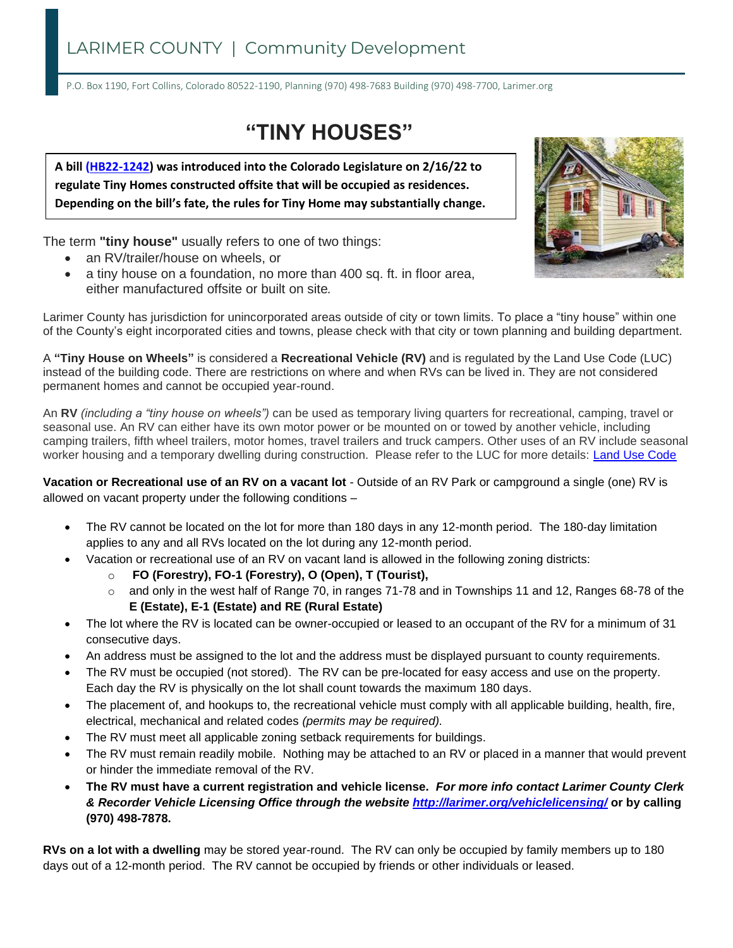# LARIMER COUNTY | Community Development

P.O. Box 1190, Fort Collins, Colorado 80522-1190, Planning (970) 498-7683 Building (970) 498-7700, Larimer.org

# **"TINY HOUSES"**

**A bill [\(HB22-1242\)](https://leg.colorado.gov/bills/hb22-1242) was introduced into the Colorado Legislature on 2/16/22 to regulate Tiny Homes constructed offsite that will be occupied as residences. Depending on the bill's fate, the rules for Tiny Home may substantially change.** 

The term **"tiny house"** usually refers to one of two things:

- an RV/trailer/house on wheels, or
- a tiny house on a foundation, no more than 400 sq. ft. in floor area, either manufactured offsite or built on site*.*



Larimer County has jurisdiction for unincorporated areas outside of city or town limits. To place a "tiny house" within one of the County's eight incorporated cities and towns, please check with that city or town planning and building department.

A **"Tiny House on Wheels"** is considered a **Recreational Vehicle (RV)** and is regulated by the Land Use Code (LUC) instead of the building code. There are restrictions on where and when RVs can be lived in. They are not considered permanent homes and cannot be occupied year-round.

An **RV** *(including a "tiny house on wheels")* can be used as temporary living quarters for recreational, camping, travel or seasonal use. An RV can either have its own motor power or be mounted on or towed by another vehicle, including camping trailers, fifth wheel trailers, motor homes, travel trailers and truck campers. Other uses of an RV include seasonal worker housing and a temporary dwelling during construction. Please refer to the LUC for more details: [Land Use Code](https://www.municode.com/library/co/larimer_county/codes/code_of_ordinances?nodeId=PTIILAUSCO_18.0MAHOMAHOPAREVEPACA_18.3REVEPA_18.3.5REVEOUCOPRREVEPACA)

**Vacation or Recreational use of an RV on a vacant lot** - Outside of an RV Park or campground a single (one) RV is allowed on vacant property under the following conditions –

- The RV cannot be located on the lot for more than 180 days in any 12-month period. The 180-day limitation applies to any and all RVs located on the lot during any 12-month period.
- Vacation or recreational use of an RV on vacant land is allowed in the following zoning districts:
	- o **FO (Forestry), FO-1 (Forestry), O (Open), T (Tourist),**
	- o and only in the west half of Range 70, in ranges 71-78 and in Townships 11 and 12, Ranges 68-78 of the **E (Estate), E-1 (Estate) and RE (Rural Estate)**
- The lot where the RV is located can be owner-occupied or leased to an occupant of the RV for a minimum of 31 consecutive days.
- An address must be assigned to the lot and the address must be displayed pursuant to county requirements.
- The RV must be occupied (not stored). The RV can be pre-located for easy access and use on the property. Each day the RV is physically on the lot shall count towards the maximum 180 days.
- The placement of, and hookups to, the recreational vehicle must comply with all applicable building, health, fire, electrical, mechanical and related codes *(permits may be required).*
- The RV must meet all applicable zoning setback requirements for buildings.
- The RV must remain readily mobile. Nothing may be attached to an RV or placed in a manner that would prevent or hinder the immediate removal of the RV.
- **The RV must have a current registration and vehicle license.** *For more info contact Larimer County Clerk & Recorder Vehicle Licensing Office through the website <http://larimer.org/vehiclelicensing/>* **or by calling (970) 498-7878.**

**RVs on a lot with a dwelling** may be stored year-round. The RV can only be occupied by family members up to 180 days out of a 12-month period. The RV cannot be occupied by friends or other individuals or leased.